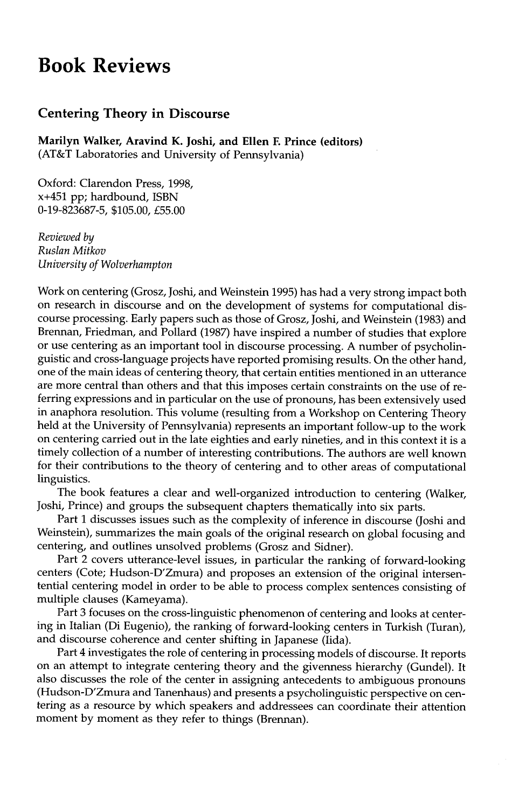## **Book Reviews**

## **Centering Theory in Discourse**

**Marilyn Walker, Aravind K. Joshi, and Ellen F. Prince (editors)**  (AT&T Laboratories and University of Pennsylvania)

Oxford: Clarendon Press, 1998, x+451 pp; hardbound, ISBN 0-19-823687-5, \$105.00, £55.00

*Reviewed by Ruslan Mitkov University of Wolverhampton* 

Work on centering (Grosz, Joshi, and Weinstein 1995) has had a very strong impact both on research in discourse and on the development of systems for computational discourse processing. Early papers such as those of Grosz, Joshi, and Weinstein (1983) and Brennan, Friedman, and Pollard (1987) have inspired a number of studies that explore or use centering as an important tool in discourse processing. A number of psycholinguistic and cross-language projects have reported promising results. On the other hand, one of the main ideas of centering theory, that certain entities mentioned in an utterance are more central than others and that this imposes certain constraints on the use of referring expressions and in particular on the use of pronouns, has been extensively used in anaphora resolution. This volume (resulting from a Workshop on Centering Theory held at the University of Pennsylvania) represents an important follow-up to the work on centering carried out in the late eighties and early nineties, and in this context it is a timely collection of a number of interesting contributions. The authors are well known for their contributions to the theory of centering and to other areas of computational linguistics.

The book features a clear and well-organized introduction to centering (Walker, Joshi, Prince) and groups the subsequent chapters thematically into six parts.

Part 1 discusses issues such as the complexity of inference in discourse (Joshi and Weinstein), summarizes the main goals of the original research on global focusing and centering, and outlines unsolved problems (Grosz and Sidner).

Part 2 covers utterance-level issues, in particular the ranking of forward-looking centers (Cote; Hudson-D'Zmura) and proposes an extension of the original intersentential centering model in order to be able to process complex sentences consisting of multiple clauses (Kameyama).

Part 3 focuses on the cross-linguistic phenomenon of centering and looks at centering in Italian (Di Eugenio), the ranking of forward-looking centers in Turkish (Turan), and discourse coherence and center shifting in Japanese (Iida).

Part 4 investigates the role of centering in processing models of discourse. It reports on an attempt to integrate centering theory and the givenness hierarchy (Gundel). It also discusses the role of the center in assigning antecedents to ambiguous pronouns (Hudson-D'Zmura and Tanenhaus) and presents a psycholinguistic perspective on centering as a resource by which speakers and addressees can coordinate their attention moment by moment as they refer to things (Brennan).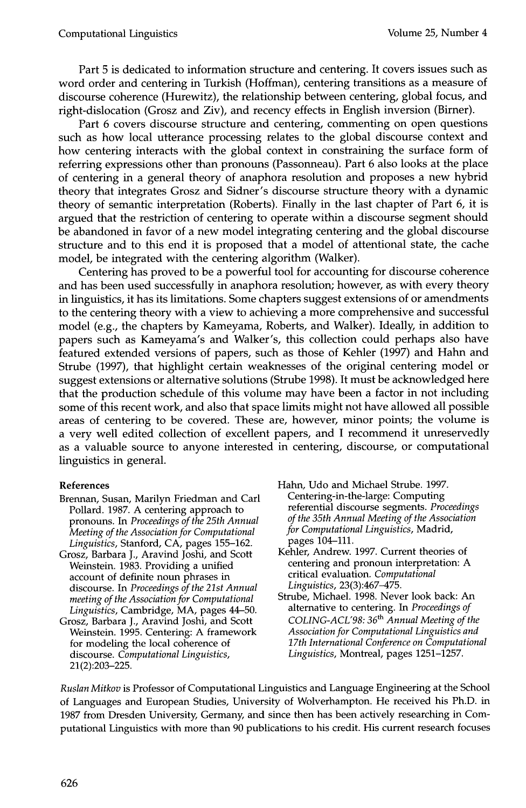Part 5 is dedicated to information structure and centering. It covers issues such as word order and centering in Turkish (Hoffman), centering transitions as a measure of discourse coherence (Hurewitz), the relationship between centering, global focus, and right-dislocation (Grosz and Ziv), and recency effects in English inversion (Birner).

Part 6 covers discourse structure and centering, commenting on open questions such as how local utterance processing relates to the global discourse context and how centering interacts with the global context in constraining the surface form of referring expressions other than pronouns (Passonneau). Part 6 also looks at the place of centering in a general theory of anaphora resolution and proposes a new hybrid theory that integrates Grosz and Sidner's discourse structure theory with a dynamic theory of semantic interpretation (Roberts). Finally in the last chapter of Part 6, it is argued that the restriction of centering to operate within a discourse segment should be abandoned in favor of a new model integrating centering and the global discourse structure and to this end it is proposed that a model of attentional state, the cache model, be integrated with the centering algorithm (Walker).

Centering has proved to be a powerful tool for accounting for discourse coherence and has been used successfully in anaphora resolution; however, as with every theory in linguistics, it has its limitations. Some chapters suggest extensions of or amendments to the centering theory with a view to achieving a more comprehensive and successful model (e.g., the chapters by Kameyama, Roberts, and Walker). Ideally, in addition to papers such as Kameyama's and Walker's, this collection could perhaps also have featured extended versions of papers, such as those of Kehler (1997) and Hahn and Strube (1997), that highlight certain weaknesses of the original centering model or suggest extensions or alternative solutions (Strube 1998). It must be acknowledged here that the production schedule of this volume may have been a factor in not including some of this recent work, and also that space limits might not have allowed all possible areas of centering to be covered. These are, however, minor points; the volume is a very well edited collection of excellent papers, and I recommend it unreservedly as a valuable source to anyone interested in centering, discourse, or computational linguistics in general.

## **References**

- Brennan, Susan, Marilyn Friedman and Carl Pollard. 1987. A centering approach to pronouns. In *Proceedings of the 25th Annual Meeting of the Association for Computational Linguistics,* Stanford, CA, pages 155-162.
- Grosz, Barbara J., Aravind Joshi, and Scott Weinstein. 1983. Providing a unified account of definite noun phrases in discourse. In *Proceedings of the 21st Annual meeting of the Association for Computational Linguistics,* Cambridge, MA, pages 44-50.
- Grosz, Barbara J., Aravind Joshi, and Scott Weinstein. 1995. Centering: A framework for modeling the local coherence of discourse. *Computational Linguistics,*  21(2):203-225.
- Hahn, Udo and Michael Strube. 1997. Centering-in-the-large: Computing referential discourse segments. *Proceedings of the 35th Annual Meeting of the Association for Computational Linguistics,* Madrid, pages 104-111.
- Kehler, Andrew. 1997. Current theories of centering and pronoun interpretation: A critical evaluation. *Computational Linguistics,* 23(3):467-475.
- Strube, Michael. 1998. Never look back: An alternative to centering. In *Proceedings of COLING-ACL'98: 36 th Annual Meeting of the Association for Computational Linguistics and 17th International Conference on Computational Linguistics,* Montreal, pages 1251-1257.

*Ruslan Mitkov* is Professor of Computational Linguistics and Language Engineering at the School of Languages and European Studies, University of Wolverhampton. He received his Ph.D. in 1987 from Dresden University, Germany, and since then has been actively researching in Computational Linguistics with more than 90 publications to his credit. His current research focuses